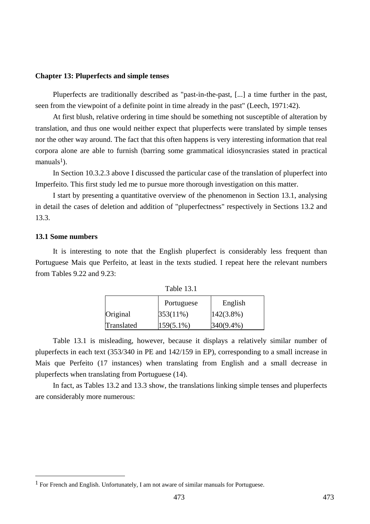#### **Chapter 13: Pluperfects and simple tenses**

Pluperfects are traditionally described as "past-in-the-past, [...] a time further in the past, seen from the viewpoint of a definite point in time already in the past" (Leech, 1971:42).

At first blush, relative ordering in time should be something not susceptible of alteration by translation, and thus one would neither expect that pluperfects were translated by simple tenses nor the other way around. The fact that this often happens is very interesting information that real corpora alone are able to furnish (barring some grammatical idiosyncrasies stated in practical  $manuals<sup>1</sup>$ ).

In Section 10.3.2.3 above I discussed the particular case of the translation of pluperfect into Imperfeito. This first study led me to pursue more thorough investigation on this matter.

I start by presenting a quantitative overview of the phenomenon in Section 13.1, analysing in detail the cases of deletion and addition of "pluperfectness" respectively in Sections 13.2 and 13.3.

#### **13.1 Some numbers**

 $\overline{a}$ 

It is interesting to note that the English pluperfect is considerably less frequent than Portuguese Mais que Perfeito, at least in the texts studied. I repeat here the relevant numbers from Tables 9.22 and 9.23:

| Table 13. |  |
|-----------|--|
|-----------|--|

|            | Portuguese   | English        |
|------------|--------------|----------------|
| Original   | $353(11\%)$  | $ 142(3.8\%) $ |
| Translated | $159(5.1\%)$ | $340(9.4\%)$   |

Table 13.1 is misleading, however, because it displays a relatively similar number of pluperfects in each text (353/340 in PE and 142/159 in EP), corresponding to a small increase in Mais que Perfeito (17 instances) when translating from English and a small decrease in pluperfects when translating from Portuguese (14).

In fact, as Tables 13.2 and 13.3 show, the translations linking simple tenses and pluperfects are considerably more numerous:

<sup>1</sup> For French and English. Unfortunately, I am not aware of similar manuals for Portuguese.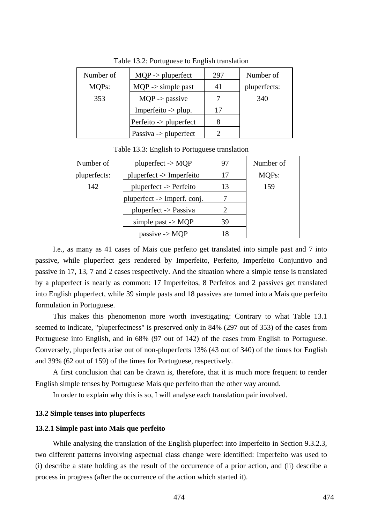| Number of | $MQP \rightarrow pluperfect$     | 297 | Number of    |
|-----------|----------------------------------|-----|--------------|
| MQPs:     | $MQP \rightarrow simple$ past    | 41  | pluperfects: |
| 353       | $MQP$ -> passive                 |     | 340          |
|           | Imperfeito $\rightarrow$ plup.   | 17  |              |
|           | Perfeito -> pluperfect           |     |              |
|           | Passiva $\rightarrow$ pluperfect |     |              |

Table 13.2: Portuguese to English translation

Table 13.3: English to Portuguese translation

| Number of    | $pluperfect$ -> MQP             | 97 | Number of          |
|--------------|---------------------------------|----|--------------------|
| pluperfects: | pluperfect -> Imperfeito        | 17 | MQP <sub>s</sub> : |
| 142          | $pluperfect$ -> Perfeito        | 13 | 159                |
|              | $ $ pluperfect -> Imperf. conj. |    |                    |
|              | pluperfect -> Passiva           | 2  |                    |
|              | simple past $\rightarrow$ MQP   | 39 |                    |
|              | passive $\rightarrow$ MQP       | 18 |                    |

I.e., as many as 41 cases of Mais que perfeito get translated into simple past and 7 into passive, while pluperfect gets rendered by Imperfeito, Perfeito, Imperfeito Conjuntivo and passive in 17, 13, 7 and 2 cases respectively. And the situation where a simple tense is translated by a pluperfect is nearly as common: 17 Imperfeitos, 8 Perfeitos and 2 passives get translated into English pluperfect, while 39 simple pasts and 18 passives are turned into a Mais que perfeito formulation in Portuguese.

This makes this phenomenon more worth investigating: Contrary to what Table 13.1 seemed to indicate, "pluperfectness" is preserved only in 84% (297 out of 353) of the cases from Portuguese into English, and in 68% (97 out of 142) of the cases from English to Portuguese. Conversely, pluperfects arise out of non-pluperfects 13% (43 out of 340) of the times for English and 39% (62 out of 159) of the times for Portuguese, respectively.

A first conclusion that can be drawn is, therefore, that it is much more frequent to render English simple tenses by Portuguese Mais que perfeito than the other way around.

In order to explain why this is so, I will analyse each translation pair involved.

#### **13.2 Simple tenses into pluperfects**

#### **13.2.1 Simple past into Mais que perfeito**

While analysing the translation of the English pluperfect into Imperfeito in Section 9.3.2.3, two different patterns involving aspectual class change were identified: Imperfeito was used to (i) describe a state holding as the result of the occurrence of a prior action, and (ii) describe a process in progress (after the occurrence of the action which started it).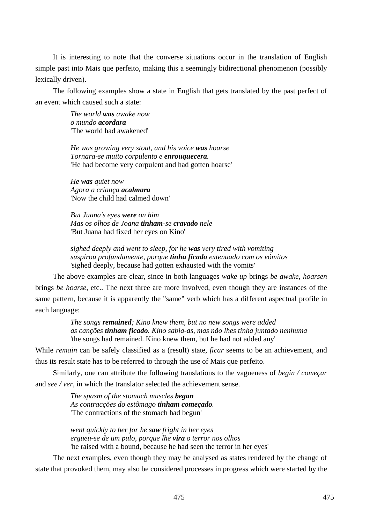It is interesting to note that the converse situations occur in the translation of English simple past into Mais que perfeito, making this a seemingly bidirectional phenomenon (possibly lexically driven).

The following examples show a state in English that gets translated by the past perfect of an event which caused such a state:

> *The world was awake now o mundo acordara*  'The world had awakened'

*He was growing very stout, and his voice was hoarse Tornara-se muito corpulento e enrouquecera.*  'He had become very corpulent and had gotten hoarse'

*He was quiet now Agora a criança acalmara*  'Now the child had calmed down'

*But Juana's eyes were on him Mas os olhos de Joana tinham-se cravado nele*  'But Juana had fixed her eyes on Kino'

*sighed deeply and went to sleep, for he was very tired with vomiting suspirou profundamente, porque tinha ficado extenuado com os vómitos*  'sighed deeply, because had gotten exhausted with the vomits'

The above examples are clear, since in both languages *wake up* brings *be awake*, *hoarsen* brings *be hoarse*, etc.. The next three are more involved, even though they are instances of the same pattern, because it is apparently the "same" verb which has a different aspectual profile in each language:

> *The songs remained; Kino knew them, but no new songs were added as canções tinham ficado. Kino sabia-as, mas não lhes tinha juntado nenhuma*  'the songs had remained. Kino knew them, but he had not added any'

While *remain* can be safely classified as a (result) state, *ficar* seems to be an achievement, and thus its result state has to be referred to through the use of Mais que perfeito.

Similarly, one can attribute the following translations to the vagueness of *begin / começar* and *see / ver*, in which the translator selected the achievement sense.

> *The spasm of the stomach muscles began As contracções do estômago tinham começado.*  'The contractions of the stomach had begun'

*went quickly to her for he saw fright in her eyes ergueu-se de um pulo, porque lhe vira o terror nos olhos*  'he raised with a bound, because he had seen the terror in her eyes'

The next examples, even though they may be analysed as states rendered by the change of state that provoked them, may also be considered processes in progress which were started by the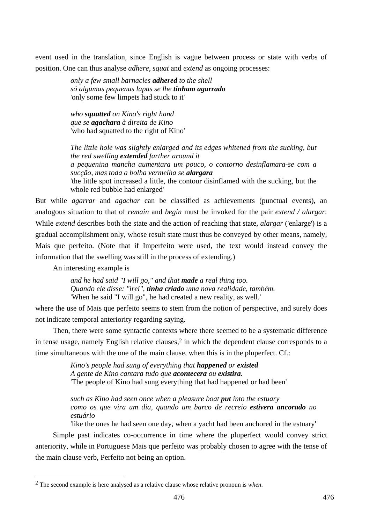event used in the translation, since English is vague between process or state with verbs of position. One can thus analyse *adhere*, *squat* and *extend* as ongoing processes:

> *only a few small barnacles adhered to the shell só algumas pequenas lapas se lhe tinham agarrado*  'only some few limpets had stuck to it'

*who squatted on Kino's right hand que se agachara à direita de Kino* 'who had squatted to the right of Kino'

*The little hole was slightly enlarged and its edges whitened from the sucking, but the red swelling extended farther around it a pequenina mancha aumentara um pouco, o contorno desinflamara-se com a sucção, mas toda a bolha vermelha se alargara* 'the little spot increased a little, the contour disinflamed with the sucking, but the whole red bubble had enlarged'

But while *agarrar* and *agachar* can be classified as achievements (punctual events), an analogous situation to that of *remain* and *begin* must be invoked for the pair *extend / alargar*: While *extend* describes both the state and the action of reaching that state, *alargar* ('enlarge') is a gradual accomplishment only, whose result state must thus be conveyed by other means, namely, Mais que perfeito. (Note that if Imperfeito were used, the text would instead convey the information that the swelling was still in the process of extending.)

An interesting example is

 $\overline{a}$ 

*and he had said "I will go," and that made a real thing too. Quando ele disse: "irei", tinha criado uma nova realidade, também.*  'When he said "I will go", he had created a new reality, as well.'

where the use of Mais que perfeito seems to stem from the notion of perspective, and surely does not indicate temporal anteriority regarding saying.

Then, there were some syntactic contexts where there seemed to be a systematic difference in tense usage, namely English relative clauses, $2$  in which the dependent clause corresponds to a time simultaneous with the one of the main clause, when this is in the pluperfect. Cf.:

> *Kino's people had sung of everything that happened or existed A gente de Kino cantara tudo que acontecera ou existira.*  'The people of Kino had sung everything that had happened or had been'

*such as Kino had seen once when a pleasure boat put into the estuary como os que vira um dia, quando um barco de recreio estivera ancorado no estuário* 

'like the ones he had seen one day, when a yacht had been anchored in the estuary'

Simple past indicates co-occurrence in time where the pluperfect would convey strict anteriority, while in Portuguese Mais que perfeito was probably chosen to agree with the tense of the main clause verb, Perfeito not being an option.

<sup>2</sup> The second example is here analysed as a relative clause whose relative pronoun is *when*.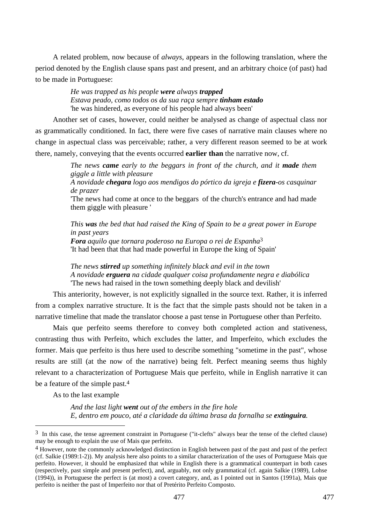A related problem, now because of *always*, appears in the following translation, where the period denoted by the English clause spans past and present, and an arbitrary choice (of past) had to be made in Portuguese:

> *He was trapped as his people were always trapped Estava peado, como todos os da sua raça sempre tinham estado*  'he was hindered, as everyone of his people had always been'

Another set of cases, however, could neither be analysed as change of aspectual class nor as grammatically conditioned. In fact, there were five cases of narrative main clauses where no change in aspectual class was perceivable; rather, a very different reason seemed to be at work there, namely, conveying that the events occurred **earlier than** the narrative now, cf.

> *The news came early to the beggars in front of the church, and it made them giggle a little with pleasure*

> *A novidade chegara logo aos mendigos do pórtico da igreja e fizera-os casquinar de prazer*

> 'The news had come at once to the beggars of the church's entrance and had made them giggle with pleasure '

> *This was the bed that had raised the King of Spain to be a great power in Europe in past years Fora aquilo que tornara poderoso na Europa o rei de Espanha*3 'It had been that that had made powerful in Europe the king of Spain'

*The news stirred up something infinitely black and evil in the town A novidade erguera na cidade qualquer coisa profundamente negra e diabólica*  'The news had raised in the town something deeply black and devilish'

This anteriority, however, is not explicitly signalled in the source text. Rather, it is inferred from a complex narrative structure. It is the fact that the simple pasts should not be taken in a narrative timeline that made the translator choose a past tense in Portuguese other than Perfeito.

Mais que perfeito seems therefore to convey both completed action and stativeness, contrasting thus with Perfeito, which excludes the latter, and Imperfeito, which excludes the former. Mais que perfeito is thus here used to describe something "sometime in the past", whose results are still (at the now of the narrative) being felt. Perfect meaning seems thus highly relevant to a characterization of Portuguese Mais que perfeito, while in English narrative it can be a feature of the simple past.4

As to the last example

 $\overline{a}$ 

*And the last light went out of the embers in the fire hole E, dentro em pouco, até a claridade da última brasa da fornalha se extinguira.* 

<sup>&</sup>lt;sup>3</sup> In this case, the tense agreement constraint in Portuguese ("it-clefts" always bear the tense of the clefted clause) may be enough to explain the use of Mais que perfeito.

<sup>4</sup> However, note the commonly acknowledged distinction in English between past of the past and past of the perfect (cf. Salkie (1989:1-2)). My analysis here also points to a similar characterization of the uses of Portuguese Mais que perfeito. However, it should be emphasized that while in English there is a grammatical counterpart in both cases (respectively, past simple and present perfect), and, arguably, not only grammatical (cf. again Salkie (1989), Lohse (1994)), in Portuguese the perfect is (at most) a covert category, and, as I pointed out in Santos (1991a), Mais que perfeito is neither the past of Imperfeito nor that of Pretérito Perfeito Composto.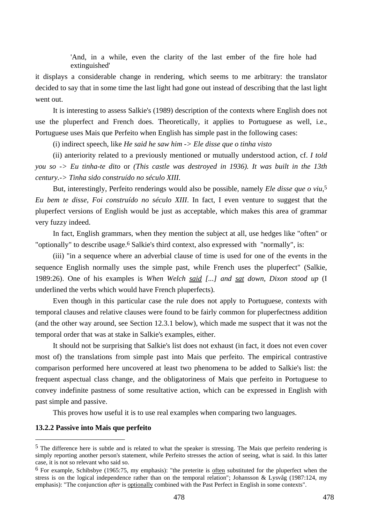'And, in a while, even the clarity of the last ember of the fire hole had extinguished'

it displays a considerable change in rendering, which seems to me arbitrary: the translator decided to say that in some time the last light had gone out instead of describing that the last light went out.

It is interesting to assess Salkie's (1989) description of the contexts where English does not use the pluperfect and French does. Theoretically, it applies to Portuguese as well, i.e., Portuguese uses Mais que Perfeito when English has simple past in the following cases:

(i) indirect speech, like *He said he saw him -> Ele disse que o tinha visto*

(ii) anteriority related to a previously mentioned or mutually understood action, cf. *I told you so -> Eu tinha-te dito* or *(This castle was destroyed in 1936). It was built in the 13th century.-> Tinha sido construído no século XIII.*

But, interestingly, Perfeito renderings would also be possible, namely *Ele disse que o viu*,5 *Eu bem te disse*, *Foi construído no século XIII*. In fact, I even venture to suggest that the pluperfect versions of English would be just as acceptable, which makes this area of grammar very fuzzy indeed.

In fact, English grammars, when they mention the subject at all, use hedges like "often" or "optionally" to describe usage.<sup>6</sup> Salkie's third context, also expressed with "normally", is:

(iii) "in a sequence where an adverbial clause of time is used for one of the events in the sequence English normally uses the simple past, while French uses the pluperfect" (Salkie, 1989:26). One of his examples is *When Welch said [...] and sat down, Dixon stood up* (I underlined the verbs which would have French pluperfects).

Even though in this particular case the rule does not apply to Portuguese, contexts with temporal clauses and relative clauses were found to be fairly common for pluperfectness addition (and the other way around, see Section 12.3.1 below), which made me suspect that it was not the temporal order that was at stake in Salkie's examples, either.

It should not be surprising that Salkie's list does not exhaust (in fact, it does not even cover most of) the translations from simple past into Mais que perfeito. The empirical contrastive comparison performed here uncovered at least two phenomena to be added to Salkie's list: the frequent aspectual class change, and the obligatoriness of Mais que perfeito in Portuguese to convey indefinite pastness of some resultative action, which can be expressed in English with past simple and passive.

This proves how useful it is to use real examples when comparing two languages.

### **13.2.2 Passive into Mais que perfeito**

 $\overline{a}$ 

<sup>5</sup> The difference here is subtle and is related to what the speaker is stressing. The Mais que perfeito rendering is simply reporting another person's statement, while Perfeito stresses the action of seeing, what is said. In this latter case, it is not so relevant who said so.

<sup>&</sup>lt;sup>6</sup> For example, Schibsbye (1965:75, my emphasis): "the preterite is <u>often</u> substituted for the pluperfect when the stress is on the logical independence rather than on the temporal relation"; Johansson & Lysvåg (1987:124, my emphasis): "The conjunction *after* is optionally combined with the Past Perfect in English in some contexts".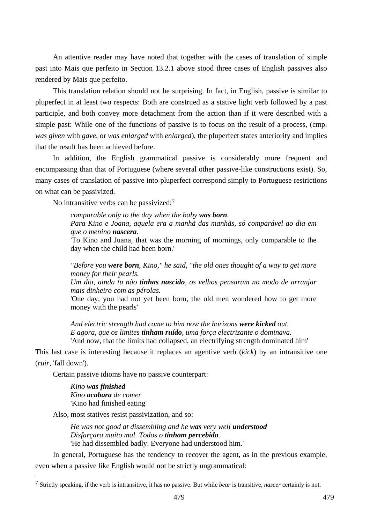An attentive reader may have noted that together with the cases of translation of simple past into Mais que perfeito in Section 13.2.1 above stood three cases of English passives also rendered by Mais que perfeito.

This translation relation should not be surprising. In fact, in English, passive is similar to pluperfect in at least two respects: Both are construed as a stative light verb followed by a past participle, and both convey more detachment from the action than if it were described with a simple past: While one of the functions of passive is to focus on the result of a process, (cmp. *was given* with *gave*, or *was enlarged* with *enlarged*), the pluperfect states anteriority and implies that the result has been achieved before.

In addition, the English grammatical passive is considerably more frequent and encompassing than that of Portuguese (where several other passive-like constructions exist). So, many cases of translation of passive into pluperfect correspond simply to Portuguese restrictions on what can be passivized.

No intransitive verbs can be passivized:7

*comparable only to the day when the baby was born. Para Kino e Joana, aquela era a manhã das manhãs, só comparável ao dia em que o menino nascera.* 

'To Kino and Juana, that was the morning of mornings, only comparable to the day when the child had been born.'

*"Before you were born, Kino," he said, "the old ones thought of a way to get more money for their pearls.* 

*Um dia, ainda tu não tinhas nascido, os velhos pensaram no modo de arranjar mais dinheiro com as pérolas.* 

'One day, you had not yet been born, the old men wondered how to get more money with the pearls'

*And electric strength had come to him now the horizons were kicked out. E agora, que os limites tinham ruído, uma força electrizante o dominava.*  'And now, that the limits had collapsed, an electrifying strength dominated him'

This last case is interesting because it replaces an agentive verb (*kick*) by an intransitive one (*ruir*, 'fall down').

Certain passive idioms have no passive counterpart:

*Kino was finished Kino acabara de comer*  'Kino had finished eating'

 $\overline{a}$ 

Also, most statives resist passivization, and so:

*He was not good at dissembling and he was very well understood Disfarçara muito mal. Todos o tinham percebido.*  'He had dissembled badly. Everyone had understood him.'

In general, Portuguese has the tendency to recover the agent, as in the previous example, even when a passive like English would not be strictly ungrammatical:

<sup>7</sup> Strictly speaking, if the verb is intransitive, it has no passive. But while *bear* is transitive, *nascer* certainly is not.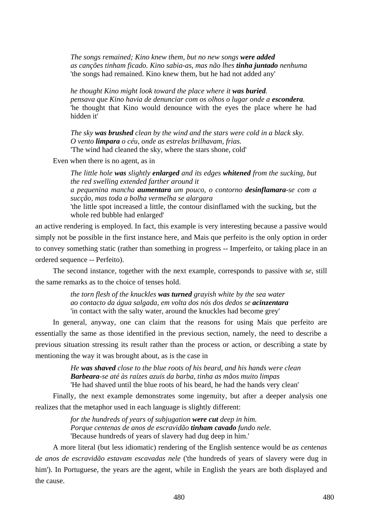*The songs remained; Kino knew them, but no new songs were added as canções tinham ficado. Kino sabia-as, mas não lhes tinha juntado nenhuma*  'the songs had remained. Kino knew them, but he had not added any'

*he thought Kino might look toward the place where it was buried. pensava que Kino havia de denunciar com os olhos o lugar onde a escondera.*  'he thought that Kino would denounce with the eyes the place where he had hidden it'

*The sky was brushed clean by the wind and the stars were cold in a black sky. O vento limpara o céu, onde as estrelas brilhavam, frias.*  'The wind had cleaned the sky, where the stars shone, cold'

Even when there is no agent, as in

*The little hole was slightly enlarged and its edges whitened from the sucking, but the red swelling extended farther around it a pequenina mancha aumentara um pouco, o contorno desinflamara-se com a sucção, mas toda a bolha vermelha se alargara*  'the little spot increased a little, the contour disinflamed with the sucking, but the whole red bubble had enlarged'

an active rendering is employed. In fact, this example is very interesting because a passive would simply not be possible in the first instance here, and Mais que perfeito is the only option in order to convey something static (rather than something in progress -- Imperfeito, or taking place in an ordered sequence -- Perfeito).

The second instance, together with the next example, corresponds to passive with *se*, still the same remarks as to the choice of tenses hold.

> *the torn flesh of the knuckles was turned grayish white by the sea water ao contacto da água salgada, em volta dos nós dos dedos se acinzentara*  'in contact with the salty water, around the knuckles had become grey'

In general, anyway, one can claim that the reasons for using Mais que perfeito are essentially the same as those identified in the previous section, namely, the need to describe a previous situation stressing its result rather than the process or action, or describing a state by mentioning the way it was brought about, as is the case in

> *He was shaved close to the blue roots of his beard, and his hands were clean Barbeara-se até às raízes azuis da barba, tinha as mãos muito limpas*  'He had shaved until the blue roots of his beard, he had the hands very clean'

Finally, the next example demonstrates some ingenuity, but after a deeper analysis one realizes that the metaphor used in each language is slightly different:

> *for the hundreds of years of subjugation were cut deep in him. Porque centenas de anos de escravidão tinham cavado fundo nele.*  'Because hundreds of years of slavery had dug deep in him.'

A more literal (but less idiomatic) rendering of the English sentence would be *as centenas de anos de escravidão estavam escavadas nele* ('the hundreds of years of slavery were dug in him'). In Portuguese, the years are the agent, while in English the years are both displayed and the cause.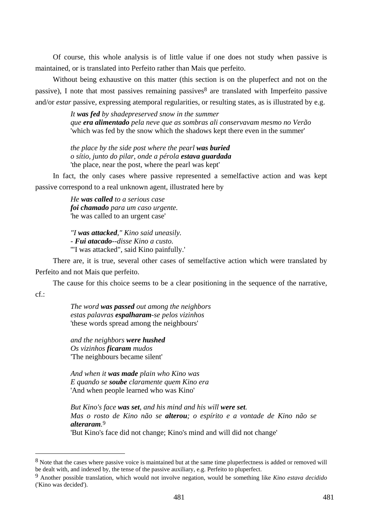Of course, this whole analysis is of little value if one does not study when passive is maintained, or is translated into Perfeito rather than Mais que perfeito.

Without being exhaustive on this matter (this section is on the pluperfect and not on the passive), I note that most passives remaining passives<sup>8</sup> are translated with Imperfeito passive and/or *estar* passive, expressing atemporal regularities, or resulting states, as is illustrated by e.g.

> *It was fed by shadepreserved snow in the summer que era alimentado pela neve que as sombras ali conservavam mesmo no Verão*  'which was fed by the snow which the shadows kept there even in the summer'

*the place by the side post where the pearl was buried o sítio, junto do pilar, onde a pérola estava guardada*  'the place, near the post, where the pearl was kept'

In fact, the only cases where passive represented a semelfactive action and was kept passive correspond to a real unknown agent, illustrated here by

> *He was called to a serious case foi chamado para um caso urgente.*  'he was called to an urgent case'

*"I was attacked," Kino said uneasily. - Fui atacado--disse Kino a custo.*  '"I was attacked", said Kino painfully.'

There are, it is true, several other cases of semelfactive action which were translated by Perfeito and not Mais que perfeito.

The cause for this choice seems to be a clear positioning in the sequence of the narrative,  $cf.$ 

> *The word was passed out among the neighbors estas palavras espalharam-se pelos vizinhos*  'these words spread among the neighbours'

*and the neighbors were hushed Os vizinhos ficaram mudos*  'The neighbours became silent'

 $\overline{a}$ 

*And when it was made plain who Kino was E quando se soube claramente quem Kino era*  'And when people learned who was Kino'

*But Kino's face was set, and his mind and his will were set. Mas o rosto de Kino não se alterou; o espírito e a vontade de Kino não se alteraram.* 9

'But Kino's face did not change; Kino's mind and will did not change'

<sup>8</sup> Note that the cases where passive voice is maintained but at the same time pluperfectness is added or removed will be dealt with, and indexed by, the tense of the passive auxiliary, e.g. Perfeito to pluperfect.

<sup>9</sup> Another possible translation, which would not involve negation, would be something like *Kino estava decidido* ('Kino was decided').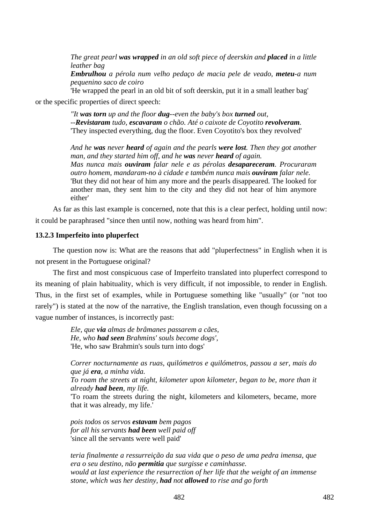*The great pearl was wrapped in an old soft piece of deerskin and placed in a little leather bag* 

*Embrulhou a pérola num velho pedaço de macia pele de veado, meteu-a num pequenino saco de coiro* 

'He wrapped the pearl in an old bit of soft deerskin, put it in a small leather bag' or the specific properties of direct speech:

> *"It was torn up and the floor dug--even the baby's box turned out, --Revistaram tudo, escavaram o chão. Até o caixote de Coyotito revolveram.*  'They inspected everything, dug the floor. Even Coyotito's box they revolved'

*And he was never heard of again and the pearls were lost. Then they got another man, and they started him off, and he was never heard of again. Mas nunca mais ouviram falar nele e as pérolas desapareceram. Procuraram outro homem, mandaram-no à cidade e também nunca mais ouviram falar nele.*  'But they did not hear of him any more and the pearls disappeared. The looked for another man, they sent him to the city and they did not hear of him anymore either'

As far as this last example is concerned, note that this is a clear perfect, holding until now: it could be paraphrased "since then until now, nothing was heard from him".

### **13.2.3 Imperfeito into pluperfect**

The question now is: What are the reasons that add "pluperfectness" in English when it is not present in the Portuguese original?

The first and most conspicuous case of Imperfeito translated into pluperfect correspond to its meaning of plain habituality, which is very difficult, if not impossible, to render in English. Thus, in the first set of examples, while in Portuguese something like "usually" (or "not too rarely") is stated at the now of the narrative, the English translation, even though focussing on a vague number of instances, is incorrectly past:

> *Ele, que via almas de brâmanes passarem a cães, He, who had seen Brahmins' souls become dogs',*  'He, who saw Brahmin's souls turn into dogs'

*Correr nocturnamente as ruas, quilómetros e quilómetros, passou a ser, mais do que já era, a minha vida.* 

*To roam the streets at night, kilometer upon kilometer, began to be, more than it already had been, my life.* 

'To roam the streets during the night, kilometers and kilometers, became, more that it was already, my life.'

*pois todos os servos estavam bem pagos for all his servants had been well paid off*  'since all the servants were well paid'

*teria finalmente a ressurreição da sua vida que o peso de uma pedra imensa, que era o seu destino, não permitia que surgisse e caminhasse. would at last experience the resurrection of her life that the weight of an immense stone, which was her destiny, had not allowed to rise and go forth*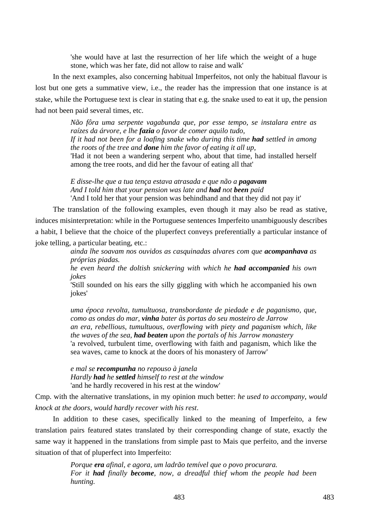'she would have at last the resurrection of her life which the weight of a huge stone, which was her fate, did not allow to raise and walk'

In the next examples, also concerning habitual Imperfeitos, not only the habitual flavour is lost but one gets a summative view, i.e., the reader has the impression that one instance is at stake, while the Portuguese text is clear in stating that e.g. the snake used to eat it up, the pension had not been paid several times, etc.

> *Não fôra uma serpente vagabunda que, por esse tempo, se instalara entre as raízes da árvore, e lhe fazia o favor de comer aquilo tudo, If it had not been for a loafing snake who during this time had settled in among the roots of the tree and done him the favor of eating it all up,*  'Had it not been a wandering serpent who, about that time, had installed herself

among the tree roots, and did her the favour of eating all that'

*E disse-lhe que a tua tença estava atrasada e que não a pagavam And I told him that your pension was late and had not been paid*  'And I told her that your pension was behindhand and that they did not pay it'

The translation of the following examples, even though it may also be read as stative, induces misinterpretation: while in the Portuguese sentences Imperfeito unambiguously describes a habit, I believe that the choice of the pluperfect conveys preferentially a particular instance of joke telling, a particular beating, etc.:

> *ainda lhe soavam nos ouvidos as casquinadas alvares com que acompanhava as próprias piadas.*

> *he even heard the doltish snickering with which he had accompanied his own jokes*

> 'Still sounded on his ears the silly giggling with which he accompanied his own jokes'

> *uma época revolta, tumultuosa, transbordante de piedade e de paganismo, que, como as ondas do mar, vinha bater às portas do seu mosteiro de Jarrow an era, rebellious, tumultuous, overflowing with piety and paganism which, like the waves of the sea, had beaten upon the portals of his Jarrow monastery*  'a revolved, turbulent time, overflowing with faith and paganism, which like the sea waves, came to knock at the doors of his monastery of Jarrow'

*e mal se recompunha no repouso à janela Hardly had he settled himself to rest at the window*  'and he hardly recovered in his rest at the window'

Cmp. with the alternative translations, in my opinion much better: *he used to accompany*, *would knock at the doors*, *would hardly recover with his rest*.

In addition to these cases, specifically linked to the meaning of Imperfeito, a few translation pairs featured states translated by their corresponding change of state, exactly the same way it happened in the translations from simple past to Mais que perfeito, and the inverse situation of that of pluperfect into Imperfeito:

> *Porque era afinal, e agora, um ladrão temível que o povo procurara. For it had finally become, now, a dreadful thief whom the people had been hunting.*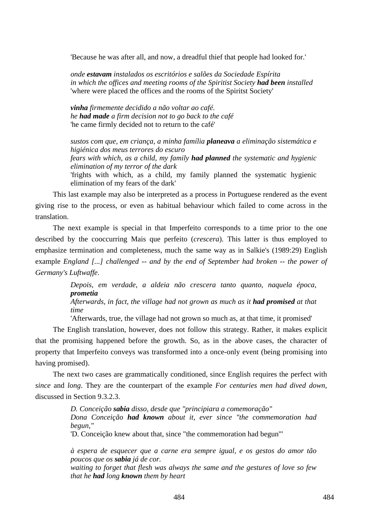'Because he was after all, and now, a dreadful thief that people had looked for.'

*onde estavam instalados os escritórios e salões da Sociedade Espírita in which the offices and meeting rooms of the Spiritist Society had been installed*  'where were placed the offices and the rooms of the Spiritst Society'

*vinha firmemente decidido a não voltar ao café. he had made a firm decision not to go back to the café*  'he came firmly decided not to return to the café'

*sustos com que, em criança, a minha família planeava a eliminação sistemática e higiénica dos meus terrores do escuro fears with which, as a child, my family had planned the systematic and hygienic elimination of my terror of the dark*  'frights with which, as a child, my family planned the systematic hygienic elimination of my fears of the dark'

This last example may also be interpreted as a process in Portuguese rendered as the event giving rise to the process, or even as habitual behaviour which failed to come across in the translation.

The next example is special in that Imperfeito corresponds to a time prior to the one described by the cooccurring Mais que perfeito (*crescera*). This latter is thus employed to emphasize termination and completeness, much the same way as in Salkie's (1989:29) English example *England [...] challenged -- and by the end of September had broken -- the power of Germany's Luftwaffe*.

> *Depois, em verdade, a aldeia não crescera tanto quanto, naquela época, prometia*

### *Afterwards, in fact, the village had not grown as much as it had promised at that time*

'Afterwards, true, the village had not grown so much as, at that time, it promised'

The English translation, however, does not follow this strategy. Rather, it makes explicit that the promising happened before the growth. So, as in the above cases, the character of property that Imperfeito conveys was transformed into a once-only event (being promising into having promised).

The next two cases are grammatically conditioned, since English requires the perfect with *since* and *long*. They are the counterpart of the example *For centuries men had dived down*, discussed in Section 9.3.2.3.

> *D. Conceição sabia disso, desde que "principiara a comemoração" Dona Conceição had known about it, ever since "the commemoration had begun,"*

'D. Conceição knew about that, since "the commemoration had begun"'

*à espera de esquecer que a carne era sempre igual, e os gestos do amor tão poucos que os sabia já de cor.* 

*waiting to forget that flesh was always the same and the gestures of love so few that he had long known them by heart*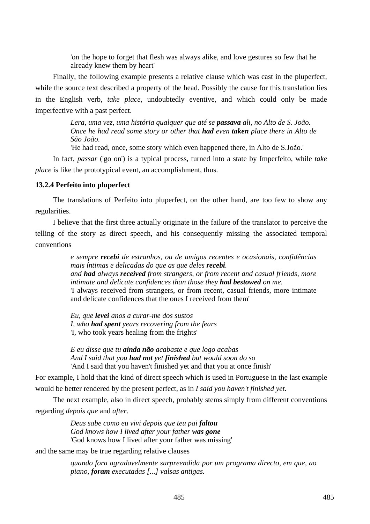'on the hope to forget that flesh was always alike, and love gestures so few that he already knew them by heart'

Finally, the following example presents a relative clause which was cast in the pluperfect, while the source text described a property of the head. Possibly the cause for this translation lies in the English verb, *take place*, undoubtedly eventive, and which could only be made imperfective with a past perfect.

> *Lera, uma vez, uma história qualquer que até se passava ali, no Alto de S. João. Once he had read some story or other that had even taken place there in Alto de São João.*

'He had read, once, some story which even happened there, in Alto de S.João.'

In fact, *passar* ('go on') is a typical process, turned into a state by Imperfeito, while *take place* is like the prototypical event, an accomplishment, thus.

## **13.2.4 Perfeito into pluperfect**

The translations of Perfeito into pluperfect, on the other hand, are too few to show any regularities.

I believe that the first three actually originate in the failure of the translator to perceive the telling of the story as direct speech, and his consequently missing the associated temporal conventions

> *e sempre recebi de estranhos, ou de amigos recentes e ocasionais, confidências mais íntimas e delicadas do que as que deles recebi. and had always received from strangers, or from recent and casual friends, more intimate and delicate confidences than those they had bestowed on me.*  'I always received from strangers, or from recent, casual friends, more intimate and delicate confidences that the ones I received from them'

*Eu, que levei anos a curar-me dos sustos I, who had spent years recovering from the fears*  'I, who took years healing from the frights'

*E eu disse que tu ainda não acabaste e que logo acabas And I said that you had not yet finished but would soon do so*  'And I said that you haven't finished yet and that you at once finish'

For example, I hold that the kind of direct speech which is used in Portuguese in the last example would be better rendered by the present perfect, as in *I said you haven't finished yet*.

The next example, also in direct speech, probably stems simply from different conventions regarding *depois que* and *after*.

> *Deus sabe como eu vivi depois que teu pai faltou God knows how I lived after your father was gone*  'God knows how I lived after your father was missing'

and the same may be true regarding relative clauses

*quando fora agradavelmente surpreendida por um programa directo, em que, ao piano, foram executadas [...] valsas antigas.*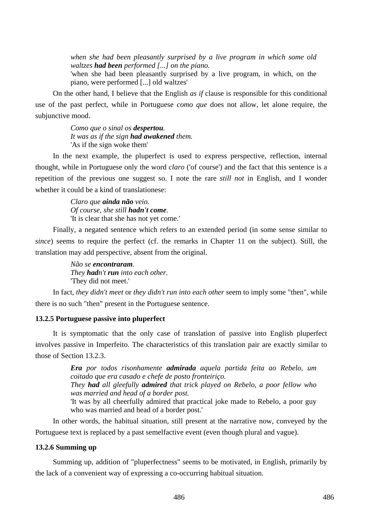*when she had been pleasantly surprised by a live program in which some old waltzes had been performed [...] on the piano.* 

'when she had been pleasantly surprised by a live program, in which, on the piano, were performed [...] old waltzes'

On the other hand, I believe that the English *as if* clause is responsible for this conditional use of the past perfect, while in Portuguese *como que* does not allow, let alone require, the subjunctive mood.

> *Como que o sinal os despertou. It was as if the sign had awakened them.*  'As if the sign woke them'

In the next example, the pluperfect is used to express perspective, reflection, internal thought, while in Portuguese only the word *claro* ('of course') and the fact that this sentence is a repetition of the previous one suggest so. I note the rare *still not* in English, and I wonder whether it could be a kind of translationese:

> *Claro que ainda não veio. Of course, she still hadn't come.*  'It is clear that she has not yet come.'

Finally, a negated sentence which refers to an extended period (in some sense similar to *since*) seems to require the perfect (cf. the remarks in Chapter 11 on the subject). Still, the translation may add perspective, absent from the original.

> *Não se encontraram. They hadn't run into each other.*  'They did not meet.'

In fact, *they didn't meet* or *they didn't run into each other* seem to imply some "then", while there is no such "then" present in the Portuguese sentence.

## **13.2.5 Portuguese passive into pluperfect**

It is symptomatic that the only case of translation of passive into English pluperfect involves passive in Imperfeito. The characteristics of this translation pair are exactly similar to those of Section 13.2.3.

> *Era por todos risonhamente admirada aquela partida feita ao Rebelo, um coitado que era casado e chefe de posto fronteiriço. They had all gleefully admired that trick played on Rebelo, a poor fellow who was married and head of a border post.*  'It was by all cheerfully admired that practical joke made to Rebelo, a poor guy who was married and head of a border post.'

In other words, the habitual situation, still present at the narrative now, conveyed by the Portuguese text is replaced by a past semelfactive event (even though plural and vague).

## **13.2.6 Summing up**

Summing up, addition of "pluperfectness" seems to be motivated, in English, primarily by the lack of a convenient way of expressing a co-occurring habitual situation.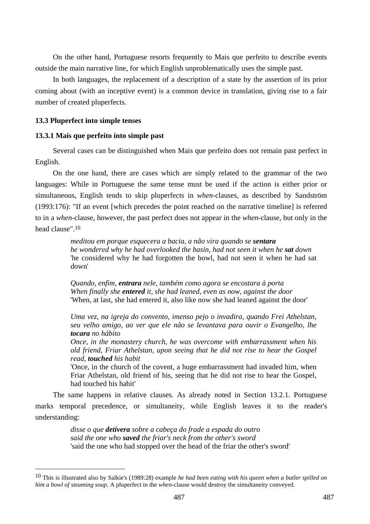On the other hand, Portuguese resorts frequently to Mais que perfeito to describe events outside the main narrative line, for which English unproblematically uses the simple past.

In both languages, the replacement of a description of a state by the assertion of its prior coming about (with an inceptive event) is a common device in translation, giving rise to a fair number of created pluperfects.

## **13.3 Pluperfect into simple tenses**

 $\overline{a}$ 

# **13.3.1 Mais que perfeito into simple past**

Several cases can be distinguished when Mais que perfeito does not remain past perfect in English.

On the one hand, there are cases which are simply related to the grammar of the two languages: While in Portuguese the same tense must be used if the action is either prior or simultaneous, English tends to skip pluperfects in *when*-clauses, as described by Sandström (1993:176): "If an event [which precedes the point reached on the narrative timeline] is referred to in a *when*-clause, however, the past perfect does not appear in the *when*-clause, but only in the head clause".10

> *meditou em porque esquecera a bacia, a não vira quando se sentara he wondered why he had overlooked the basin, had not seen it when he sat down*  'he considered why he had forgotten the bowl, had not seen it when he had sat down'

*Quando, enfim, entrara nele, também como agora se encostara à porta When finally she entered it, she had leaned, even as now, against the door*  'When, at last, she had entered it, also like now she had leaned against the door'

*Uma vez, na igreja do convento, imenso pejo o invadira, quando Frei Athelstan, seu velho amigo, ao ver que ele não se levantava para ouvir o Evangelho, lhe tocara no hábito* 

*Once, in the monastery church, he was overcome with embarrassment when his old friend, Friar Athelstan, upon seeing that he did not rise to hear the Gospel read, touched his habit* 

'Once, in the church of the covent, a huge embarrassment had invaded him, when Friar Athelstan, old friend of his, seeing that he did not rise to hear the Gospel, had touched his habit'

The same happens in relative clauses. As already noted in Section 13.2.1. Portuguese marks temporal precedence, or simultaneity, while English leaves it to the reader's understanding:

> *disse o que detivera sobre a cabeça do frade a espada do outro said the one who saved the friar's neck from the other's sword*  'said the one who had stopped over the head of the friar the other's sword'

<sup>10</sup> This is illustrated also by Salkie's (1989:28) example *he had been eating with his queen when a butler spilled on him a bowl of steaming soup*. A pluperfect in the *when*-clause would destroy the simultaneity conveyed.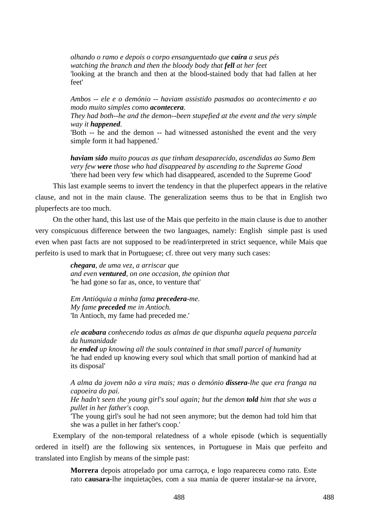*olhando o ramo e depois o corpo ensanguentado que caíra a seus pés watching the branch and then the bloody body that fell at her feet*  'looking at the branch and then at the blood-stained body that had fallen at her feet'

*Ambos -- ele e o demónio -- haviam assistido pasmados ao acontecimento e ao modo muito simples como acontecera.* 

*They had both--he and the demon--been stupefied at the event and the very simple way it happened.* 

'Both -- he and the demon -- had witnessed astonished the event and the very simple form it had happened.'

*haviam sido muito poucas as que tinham desaparecido, ascendidas ao Sumo Bem very few were those who had disappeared by ascending to the Supreme Good*  'there had been very few which had disappeared, ascended to the Supreme Good'

This last example seems to invert the tendency in that the pluperfect appears in the relative clause, and not in the main clause. The generalization seems thus to be that in English two pluperfects are too much.

On the other hand, this last use of the Mais que perfeito in the main clause is due to another very conspicuous difference between the two languages, namely: English simple past is used even when past facts are not supposed to be read/interpreted in strict sequence, while Mais que perfeito is used to mark that in Portuguese; cf. three out very many such cases:

> *chegara, de uma vez, a arriscar que and even ventured, on one occasion, the opinion that*  'he had gone so far as, once, to venture that'

*Em Antióquia a minha fama precedera-me. My fame preceded me in Antioch.*  'In Antioch, my fame had preceded me.'

*ele acabara conhecendo todas as almas de que dispunha aquela pequena parcela da humanidade* 

*he ended up knowing all the souls contained in that small parcel of humanity*  'he had ended up knowing every soul which that small portion of mankind had at its disposal'

*A alma da jovem não a vira mais; mas o demónio dissera-lhe que era franga na capoeira do pai.* 

*He hadn't seen the young girl's soul again; but the demon told him that she was a pullet in her father's coop.* 

'The young girl's soul he had not seen anymore; but the demon had told him that she was a pullet in her father's coop.'

Exemplary of the non-temporal relatedness of a whole episode (which is sequentially ordered in itself) are the following six sentences, in Portuguese in Mais que perfeito and translated into English by means of the simple past:

> **Morrera** depois atropelado por uma carroça, e logo reapareceu como rato. Este rato **causara**-lhe inquietações, com a sua mania de querer instalar-se na árvore,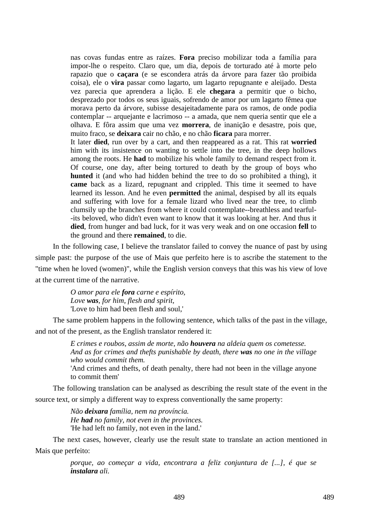nas covas fundas entre as raízes. **Fora** preciso mobilizar toda a família para impor-lhe o respeito. Claro que, um dia, depois de torturado até à morte pelo rapazio que o **caçara** (e se escondera atrás da árvore para fazer tão proibida coisa), ele o **vira** passar como lagarto, um lagarto repugnante e aleijado. Desta vez parecia que aprendera a lição. E ele **chegara** a permitir que o bicho, desprezado por todos os seus iguais, sofrendo de amor por um lagarto fêmea que morava perto da árvore, subisse desajeitadamente para os ramos, de onde podia contemplar -- arquejante e lacrimoso -- a amada, que nem queria sentir que ele a olhava. E fôra assim que uma vez **morrera**, de inanição e desastre, pois que, muito fraco, se **deixara** cair no chão, e no chão **ficara** para morrer.

It later **died**, run over by a cart, and then reappeared as a rat. This rat **worried** him with its insistence on wanting to settle into the tree, in the deep hollows among the roots. He **had** to mobilize his whole family to demand respect from it. Of course, one day, after being tortured to death by the group of boys who **hunted** it (and who had hidden behind the tree to do so prohibited a thing), it **came** back as a lizard, repugnant and crippled. This time it seemed to have learned its lesson. And he even **permitted** the animal, despised by all its equals and suffering with love for a female lizard who lived near the tree, to climb clumsily up the branches from where it could contemplate--breathless and tearful- -its beloved, who didn't even want to know that it was looking at her. And thus it **died**, from hunger and bad luck, for it was very weak and on one occasion **fell** to the ground and there **remained**, to die.

In the following case, I believe the translator failed to convey the nuance of past by using simple past: the purpose of the use of Mais que perfeito here is to ascribe the statement to the "time when he loved (women)", while the English version conveys that this was his view of love at the current time of the narrative.

> *O amor para ele fora carne e espírito, Love was, for him, flesh and spirit,*  'Love to him had been flesh and soul,'

The same problem happens in the following sentence, which talks of the past in the village, and not of the present, as the English translator rendered it:

> *E crimes e roubos, assim de morte, não houvera na aldeia quem os cometesse. And as for crimes and thefts punishable by death, there was no one in the village who would commit them.*

> 'And crimes and thefts, of death penalty, there had not been in the village anyone to commit them'

The following translation can be analysed as describing the result state of the event in the source text, or simply a different way to express conventionally the same property:

> *Não deixara família, nem na província. He had no family, not even in the provinces.*  'He had left no family, not even in the land.'

The next cases, however, clearly use the result state to translate an action mentioned in Mais que perfeito:

> *porque, ao começar a vida, encontrara a feliz conjuntura de [...], é que se instalara ali.*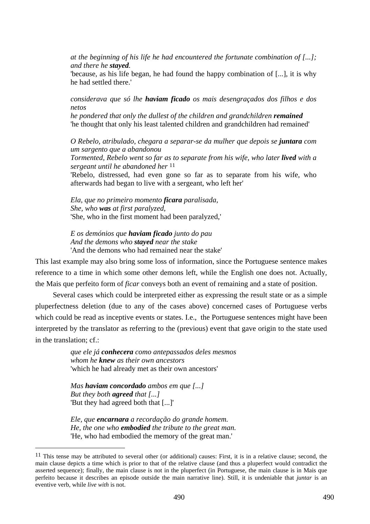*at the beginning of his life he had encountered the fortunate combination of [...]; and there he stayed.* 

'because, as his life began, he had found the happy combination of [...], it is why he had settled there.'

*considerava que só lhe haviam ficado os mais desengraçados dos filhos e dos netos* 

*he pondered that only the dullest of the children and grandchildren <i>remained* 'he thought that only his least talented children and grandchildren had remained'

*O Rebelo, atribulado, chegara a separar-se da mulher que depois se juntara com um sargento que a abandonou* 

*Tormented, Rebelo went so far as to separate from his wife, who later lived with a sergeant until he abandoned her* 11

'Rebelo, distressed, had even gone so far as to separate from his wife, who afterwards had began to live with a sergeant, who left her'

*Ela, que no primeiro momento ficara paralisada, She, who was at first paralyzed,*  'She, who in the first moment had been paralyzed,'

*E os demónios que haviam ficado junto do pau And the demons who stayed near the stake*  'And the demons who had remained near the stake'

This last example may also bring some loss of information, since the Portuguese sentence makes reference to a time in which some other demons left, while the English one does not. Actually, the Mais que perfeito form of *ficar* conveys both an event of remaining and a state of position.

Several cases which could be interpreted either as expressing the result state or as a simple pluperfectness deletion (due to any of the cases above) concerned cases of Portuguese verbs which could be read as inceptive events or states. I.e., the Portuguese sentences might have been interpreted by the translator as referring to the (previous) event that gave origin to the state used in the translation; cf.:

> *que ele já conhecera como antepassados deles mesmos whom he knew as their own ancestors*  'which he had already met as their own ancestors'

*Mas haviam concordado ambos em que [...] But they both agreed that [...]*  'But they had agreed both that [...]'

 $\overline{a}$ 

*Ele, que encarnara a recordação do grande homem. He, the one who embodied the tribute to the great man.*  'He, who had embodied the memory of the great man.'

 $11$  This tense may be attributed to several other (or additional) causes: First, it is in a relative clause; second, the main clause depicts a time which is prior to that of the relative clause (and thus a pluperfect would contradict the asserted sequence); finally, the main clause is not in the pluperfect (in Portuguese, the main clause is in Mais que perfeito because it describes an episode outside the main narrative line). Still, it is undeniable that *juntar* is an eventive verb, while *live with* is not.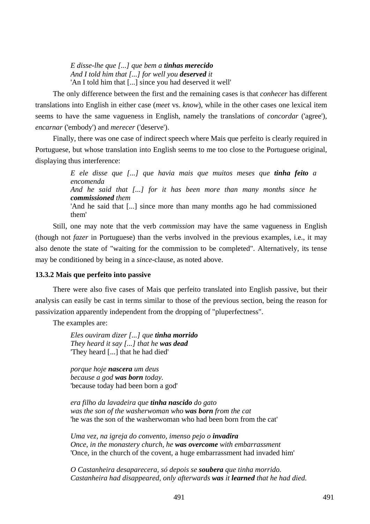*E disse-lhe que [...] que bem a tinhas merecido And I told him that [...] for well you deserved it*  'An I told him that [...] since you had deserved it well'

The only difference between the first and the remaining cases is that *conhecer* has different translations into English in either case (*meet* vs. *know*), while in the other cases one lexical item seems to have the same vagueness in English, namely the translations of *concordar* ('agree'), *encarnar* ('embody') and *merecer* ('deserve').

Finally, there was one case of indirect speech where Mais que perfeito is clearly required in Portuguese, but whose translation into English seems to me too close to the Portuguese original, displaying thus interference:

> *E ele disse que [...] que havia mais que muitos meses que tinha feito a encomenda And he said that [...] for it has been more than many months since he commissioned them*  'And he said that [...] since more than many months ago he had commissioned them'

Still, one may note that the verb *commission* may have the same vagueness in English (though not *fazer* in Portuguese) than the verbs involved in the previous examples, i.e., it may also denote the state of "waiting for the commission to be completed". Alternatively, its tense may be conditioned by being in a *since*-clause, as noted above.

## **13.3.2 Mais que perfeito into passive**

There were also five cases of Mais que perfeito translated into English passive, but their analysis can easily be cast in terms similar to those of the previous section, being the reason for passivization apparently independent from the dropping of "pluperfectness".

The examples are:

*Eles ouviram dizer [...] que tinha morrido They heard it say [...] that he was dead*  'They heard [...] that he had died'

*porque hoje nascera um deus because a god was born today.*  'because today had been born a god'

*era filho da lavadeira que tinha nascido do gato was the son of the washerwoman who was born from the cat*  'he was the son of the washerwoman who had been born from the cat'

*Uma vez, na igreja do convento, imenso pejo o invadira Once, in the monastery church, he was overcome with embarrassment*  'Once, in the church of the covent, a huge embarrassment had invaded him'

*O Castanheira desaparecera, só depois se soubera que tinha morrido. Castanheira had disappeared, only afterwards was it learned that he had died.*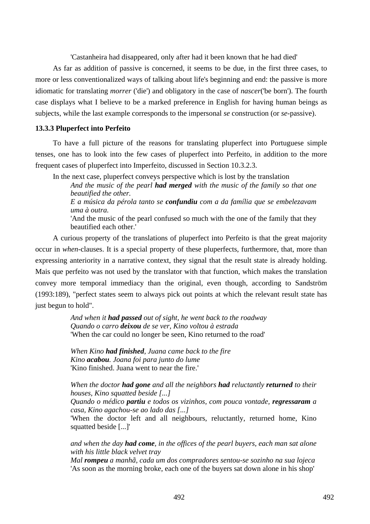'Castanheira had disappeared, only after had it been known that he had died'

As far as addition of passive is concerned, it seems to be due, in the first three cases, to more or less conventionalized ways of talking about life's beginning and end: the passive is more idiomatic for translating *morrer* ('die') and obligatory in the case of *nascer*('be born'). The fourth case displays what I believe to be a marked preference in English for having human beings as subjects, while the last example corresponds to the impersonal *se* construction (or *se*-passive).

# **13.3.3 Pluperfect into Perfeito**

To have a full picture of the reasons for translating pluperfect into Portuguese simple tenses, one has to look into the few cases of pluperfect into Perfeito, in addition to the more frequent cases of pluperfect into Imperfeito, discussed in Section 10.3.2.3.

In the next case, pluperfect conveys perspective which is lost by the translation

*And the music of the pearl had merged with the music of the family so that one beautified the other.* 

*E a música da pérola tanto se confundiu com a da família que se embelezavam uma à outra.* 

'And the music of the pearl confused so much with the one of the family that they beautified each other.'

A curious property of the translations of pluperfect into Perfeito is that the great majority occur in *when*-clauses. It is a special property of these pluperfects, furthermore, that, more than expressing anteriority in a narrative context, they signal that the result state is already holding. Mais que perfeito was not used by the translator with that function, which makes the translation convey more temporal immediacy than the original, even though, according to Sandström (1993:189), "perfect states seem to always pick out points at which the relevant result state has just begun to hold".

> *And when it had passed out of sight, he went back to the roadway Quando o carro deixou de se ver, Kino voltou à estrada*  'When the car could no longer be seen, Kino returned to the road'

*When Kino had finished, Juana came back to the fire Kino acabou. Joana foi para junto do lume*  'Kino finished. Juana went to near the fire.'

*When the doctor had gone and all the neighbors had reluctantly returned to their houses, Kino squatted beside [...]* 

*Quando o médico partiu e todos os vizinhos, com pouca vontade, regressaram a casa, Kino agachou-se ao lado das [...]* 

'When the doctor left and all neighbours, reluctantly, returned home, Kino squatted beside [...]'

*and when the day had come, in the offices of the pearl buyers, each man sat alone with his little black velvet tray* 

*Mal rompeu a manhã, cada um dos compradores sentou-se sozinho na sua lojeca*  'As soon as the morning broke, each one of the buyers sat down alone in his shop'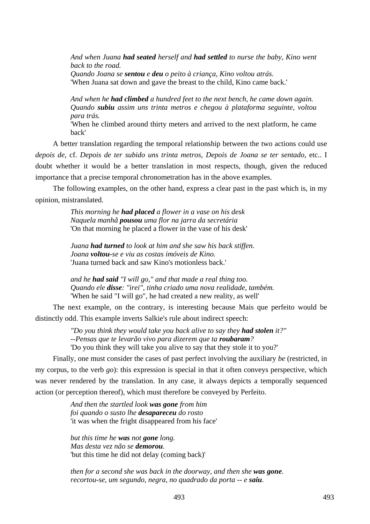*And when Juana had seated herself and had settled to nurse the baby, Kino went back to the road. Quando Joana se sentou e deu o peito à criança, Kino voltou atrás.* 

'When Juana sat down and gave the breast to the child, Kino came back.'

*And when he had climbed a hundred feet to the next bench, he came down again. Quando subiu assim uns trinta metros e chegou à plataforma seguinte, voltou para trás.* 

'When he climbed around thirty meters and arrived to the next platform, he came back'

A better translation regarding the temporal relationship between the two actions could use *depois de*, cf. *Depois de ter subido uns trinta metros*, *Depois de Joana se ter sentado*, etc.. I doubt whether it would be a better translation in most respects, though, given the reduced importance that a precise temporal chronometration has in the above examples.

The following examples, on the other hand, express a clear past in the past which is, in my opinion, mistranslated.

> *This morning he had placed a flower in a vase on his desk Naquela manhã pousou uma flor na jarra da secretária*  'On that morning he placed a flower in the vase of his desk'

*Juana had turned to look at him and she saw his back stiffen. Joana voltou-se e viu as costas imóveis de Kino.*  'Juana turned back and saw Kino's motionless back.'

*and he had said "I will go," and that made a real thing too. Quando ele disse: "irei", tinha criado uma nova realidade, também.*  'When he said "I will go", he had created a new reality, as well'

The next example, on the contrary, is interesting because Mais que perfeito would be distinctly odd. This example inverts Salkie's rule about indirect speech:

> *"Do you think they would take you back alive to say they had stolen it?" --Pensas que te levarão vivo para dizerem que ta roubaram?*  'Do you think they will take you alive to say that they stole it to you?'

Finally, one must consider the cases of past perfect involving the auxiliary *be* (restricted, in my corpus, to the verb *go*): this expression is special in that it often conveys perspective, which was never rendered by the translation. In any case, it always depicts a temporally sequenced action (or perception thereof), which must therefore be conveyed by Perfeito.

> *And then the startled look was gone from him foi quando o susto lhe desapareceu do rosto*  'it was when the fright disappeared from his face'

*but this time he was not gone long. Mas desta vez não se demorou.*  'but this time he did not delay (coming back)'

*then for a second she was back in the doorway, and then she was gone. recortou-se, um segundo, negra, no quadrado da porta -- e saiu.*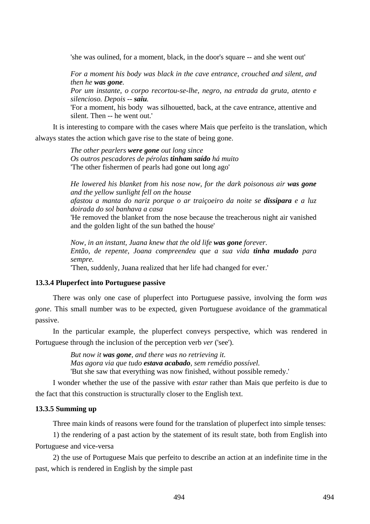'she was oulined, for a moment, black, in the door's square -- and she went out'

*For a moment his body was black in the cave entrance, crouched and silent, and then he was gone.* 

*Por um instante, o corpo recortou-se-lhe, negro, na entrada da gruta, atento e silencioso. Depois -- saiu.* 

'For a moment, his body was silhouetted, back, at the cave entrance, attentive and silent. Then -- he went out.'

It is interesting to compare with the cases where Mais que perfeito is the translation, which always states the action which gave rise to the state of being gone.

> *The other pearlers were gone out long since Os outros pescadores de pérolas tinham saído há muito*  'The other fishermen of pearls had gone out long ago'

*He lowered his blanket from his nose now, for the dark poisonous air was gone and the yellow sunlight fell on the house afastou a manta do nariz porque o ar traiçoeiro da noite se dissipara e a luz doirada do sol banhava a casa*  'He removed the blanket from the nose because the treacherous night air vanished and the golden light of the sun bathed the house'

*Now, in an instant, Juana knew that the old life was gone forever. Então, de repente, Joana compreendeu que a sua vida tinha mudado para sempre.* 

'Then, suddenly, Juana realized that her life had changed for ever.'

#### **13.3.4 Pluperfect into Portuguese passive**

There was only one case of pluperfect into Portuguese passive, involving the form *was gone*. This small number was to be expected, given Portuguese avoidance of the grammatical passive.

In the particular example, the pluperfect conveys perspective, which was rendered in Portuguese through the inclusion of the perception verb *ver* ('see').

> *But now it was gone, and there was no retrieving it. Mas agora via que tudo estava acabado, sem remédio possível.*  'But she saw that everything was now finished, without possible remedy.'

I wonder whether the use of the passive with *estar* rather than Mais que perfeito is due to the fact that this construction is structurally closer to the English text.

# **13.3.5 Summing up**

Three main kinds of reasons were found for the translation of pluperfect into simple tenses:

1) the rendering of a past action by the statement of its result state, both from English into Portuguese and vice-versa

2) the use of Portuguese Mais que perfeito to describe an action at an indefinite time in the past, which is rendered in English by the simple past